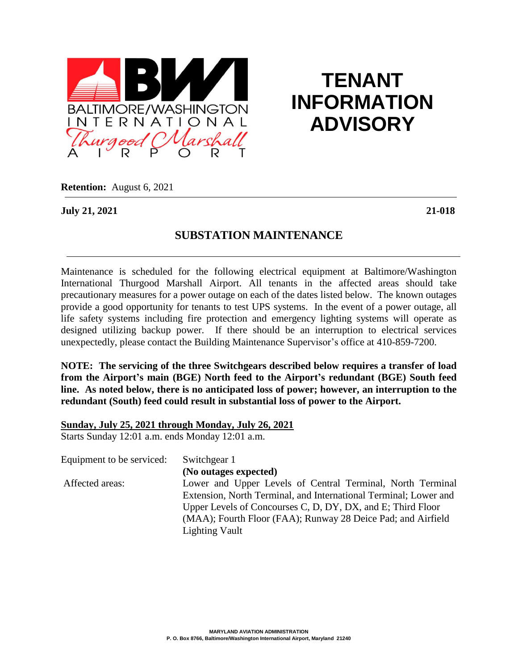

# **TENANT INFORMATION ADVISORY**

**Retention:** August 6, 2021

**July 21, 2021 21-018**

## **SUBSTATION MAINTENANCE**

Maintenance is scheduled for the following electrical equipment at Baltimore/Washington International Thurgood Marshall Airport. All tenants in the affected areas should take precautionary measures for a power outage on each of the dates listed below. The known outages provide a good opportunity for tenants to test UPS systems. In the event of a power outage, all life safety systems including fire protection and emergency lighting systems will operate as designed utilizing backup power. If there should be an interruption to electrical services unexpectedly, please contact the Building Maintenance Supervisor's office at 410-859-7200.

**NOTE: The servicing of the three Switchgears described below requires a transfer of load from the Airport's main (BGE) North feed to the Airport's redundant (BGE) South feed line. As noted below, there is no anticipated loss of power; however, an interruption to the redundant (South) feed could result in substantial loss of power to the Airport.**

**Sunday, July 25, 2021 through Monday, July 26, 2021**

Starts Sunday 12:01 a.m. ends Monday 12:01 a.m.

| Equipment to be serviced: | Switchgear 1                                                     |
|---------------------------|------------------------------------------------------------------|
|                           | (No outages expected)                                            |
| Affected areas:           | Lower and Upper Levels of Central Terminal, North Terminal       |
|                           | Extension, North Terminal, and International Terminal; Lower and |
|                           | Upper Levels of Concourses C, D, DY, DX, and E; Third Floor      |
|                           | (MAA); Fourth Floor (FAA); Runway 28 Deice Pad; and Airfield     |
|                           | <b>Lighting Vault</b>                                            |